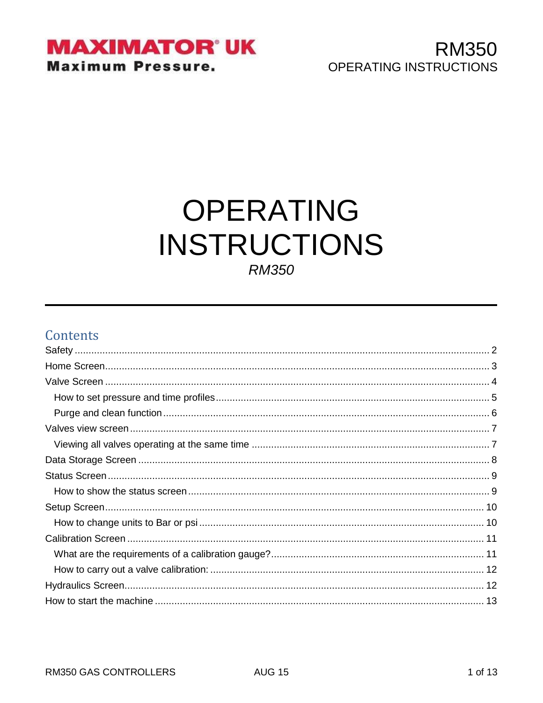

# **OPERATING INSTRUCTIONS RM350**

### **Contents**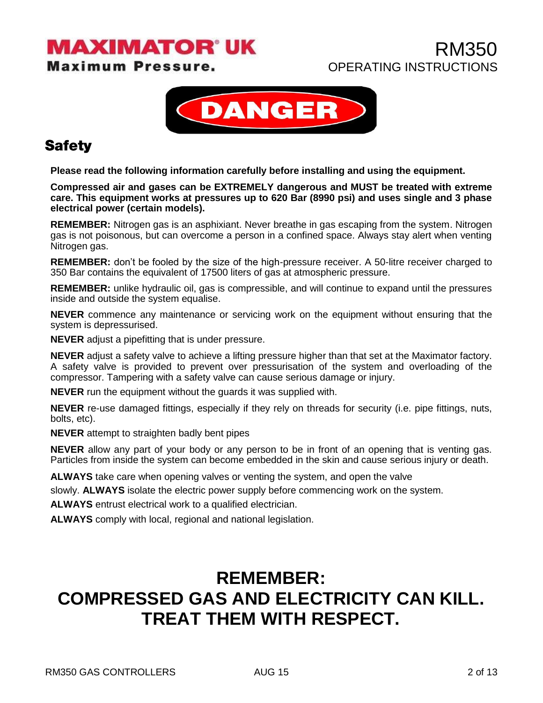**Maximum Pressure.** 



### <span id="page-1-0"></span>**Safety**

**Please read the following information carefully before installing and using the equipment.**

**Compressed air and gases can be EXTREMELY dangerous and MUST be treated with extreme care. This equipment works at pressures up to 620 Bar (8990 psi) and uses single and 3 phase electrical power (certain models).**

**REMEMBER:** Nitrogen gas is an asphixiant. Never breathe in gas escaping from the system. Nitrogen gas is not poisonous, but can overcome a person in a confined space. Always stay alert when venting Nitrogen gas.

**REMEMBER:** don't be fooled by the size of the high-pressure receiver. A 50-litre receiver charged to 350 Bar contains the equivalent of 17500 liters of gas at atmospheric pressure.

**REMEMBER:** unlike hydraulic oil, gas is compressible, and will continue to expand until the pressures inside and outside the system equalise.

**NEVER** commence any maintenance or servicing work on the equipment without ensuring that the system is depressurised.

**NEVER** adjust a pipefitting that is under pressure.

**NEVER** adjust a safety valve to achieve a lifting pressure higher than that set at the Maximator factory. A safety valve is provided to prevent over pressurisation of the system and overloading of the compressor. Tampering with a safety valve can cause serious damage or injury.

**NEVER** run the equipment without the guards it was supplied with.

**NEVER** re-use damaged fittings, especially if they rely on threads for security (i.e. pipe fittings, nuts, bolts, etc).

**NEVER** attempt to straighten badly bent pipes

**NEVER** allow any part of your body or any person to be in front of an opening that is venting gas. Particles from inside the system can become embedded in the skin and cause serious injury or death.

**ALWAYS** take care when opening valves or venting the system, and open the valve

slowly. **ALWAYS** isolate the electric power supply before commencing work on the system.

**ALWAYS** entrust electrical work to a qualified electrician.

**ALWAYS** comply with local, regional and national legislation.

## **REMEMBER: COMPRESSED GAS AND ELECTRICITY CAN KILL. TREAT THEM WITH RESPECT.**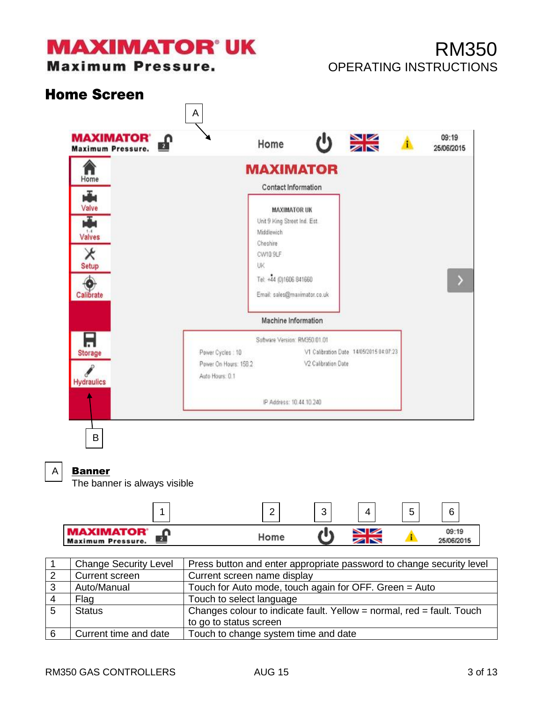**Maximum Pressure.** 

## RM350 OPERATING INSTRUCTIONS

<span id="page-2-0"></span>

A

#### Banner

The banner is always visible



|                | <b>Change Security Level</b> | Press button and enter appropriate password to change security level  |
|----------------|------------------------------|-----------------------------------------------------------------------|
| $\overline{2}$ | Current screen               | Current screen name display                                           |
| 3              | Auto/Manual                  | Touch for Auto mode, touch again for OFF. Green = Auto                |
|                | Flag                         | Touch to select language                                              |
|                | <b>Status</b>                | Changes colour to indicate fault. Yellow = normal, red = fault. Touch |
|                |                              | to go to status screen                                                |
| 6              | Current time and date        | Touch to change system time and date                                  |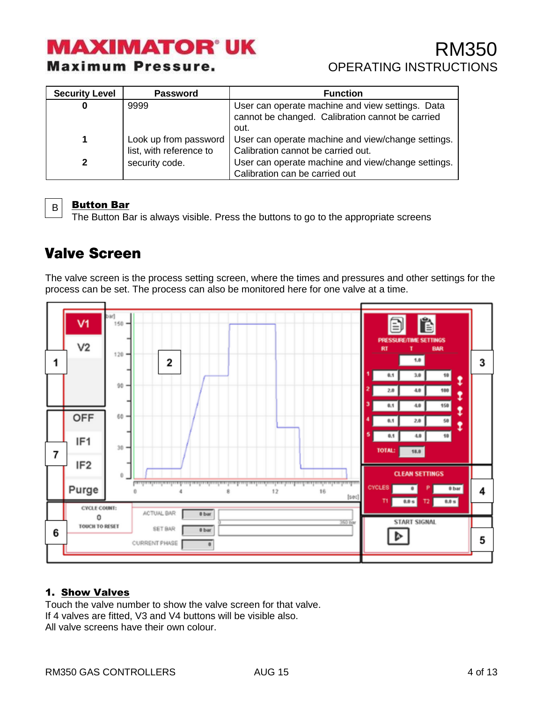## RM350 OPERATING INSTRUCTIONS

| <b>Security Level</b> | <b>Password</b>                                  | <b>Function</b>                                                                                              |
|-----------------------|--------------------------------------------------|--------------------------------------------------------------------------------------------------------------|
|                       | 9999                                             | User can operate machine and view settings. Data<br>cannot be changed. Calibration cannot be carried<br>out. |
| 1                     | Look up from password<br>list, with reference to | User can operate machine and view/change settings.<br>Calibration cannot be carried out.                     |
| $\mathbf{2}$          | security code.                                   | User can operate machine and view/change settings.<br>Calibration can be carried out                         |



#### Button Bar

The Button Bar is always visible. Press the buttons to go to the appropriate screens

### <span id="page-3-0"></span>**Valve Screen**

The valve screen is the process setting screen, where the times and pressures and other settings for the process can be set. The process can also be monitored here for one valve at a time.



#### 1. Show Valves

Touch the valve number to show the valve screen for that valve. If 4 valves are fitted, V3 and V4 buttons will be visible also. All valve screens have their own colour.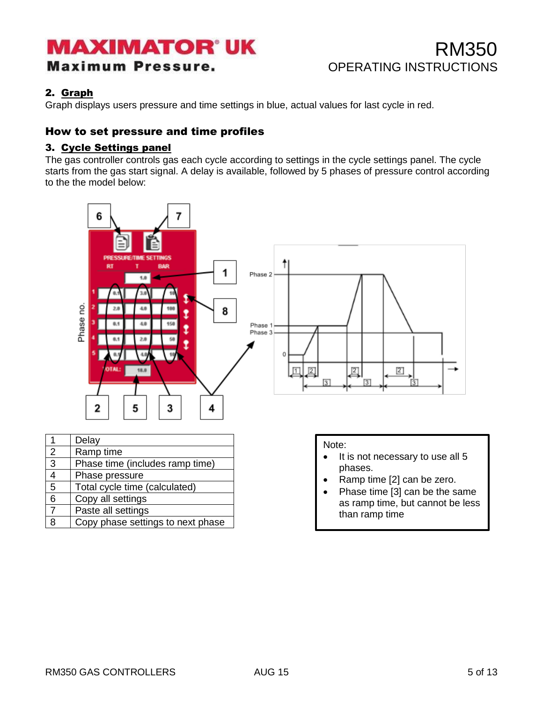### RM350 OPERATING INSTRUCTIONS

#### 2. Graph

Graph displays users pressure and time settings in blue, actual values for last cycle in red.

#### <span id="page-4-0"></span>How to set pressure and time profiles

#### 3. Cycle Settings panel

The gas controller controls gas each cycle according to settings in the cycle settings panel. The cycle starts from the gas start signal. A delay is available, followed by 5 phases of pressure control according to the the model below:

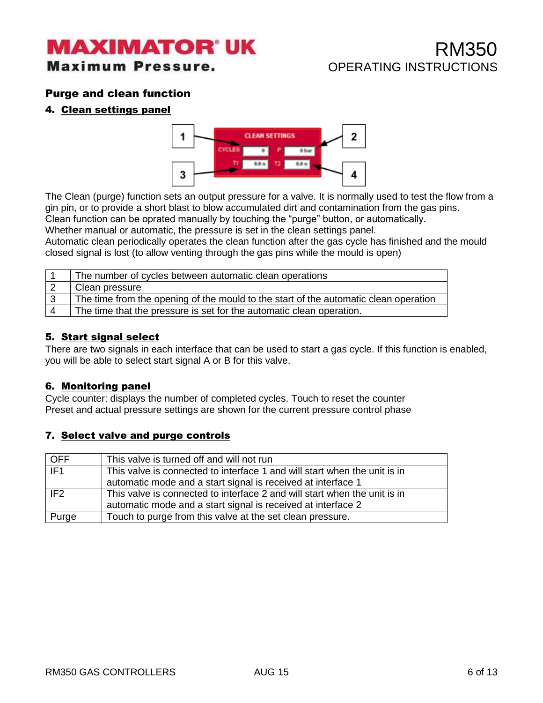## RM350 OPERATING INSTRUCTIONS

#### <span id="page-5-0"></span>Purge and clean function

#### 4. Clean settings panel



The Clean (purge) function sets an output pressure for a valve. It is normally used to test the flow from a gin pin, or to provide a short blast to blow accumulated dirt and contamination from the gas pins.

Clean function can be oprated manually by touching the "purge" button, or automatically.

Whether manual or automatic, the pressure is set in the clean settings panel.

Automatic clean periodically operates the clean function after the gas cycle has finished and the mould closed signal is lost (to allow venting through the gas pins while the mould is open)

| The number of cycles between automatic clean operations                              |
|--------------------------------------------------------------------------------------|
| Clean pressure                                                                       |
| The time from the opening of the mould to the start of the automatic clean operation |
| The time that the pressure is set for the automatic clean operation.                 |

#### 5. Start signal select

There are two signals in each interface that can be used to start a gas cycle. If this function is enabled, you will be able to select start signal A or B for this valve.

#### 6. Monitoring panel

Cycle counter: displays the number of completed cycles. Touch to reset the counter Preset and actual pressure settings are shown for the current pressure control phase

#### 7. Select valve and purge controls

| <b>OFF</b>      | This valve is turned off and will not run                                 |
|-----------------|---------------------------------------------------------------------------|
| TF1             | This valve is connected to interface 1 and will start when the unit is in |
|                 | automatic mode and a start signal is received at interface 1              |
| IF <sub>2</sub> | This valve is connected to interface 2 and will start when the unit is in |
|                 | automatic mode and a start signal is received at interface 2              |
| Purge           | Touch to purge from this valve at the set clean pressure.                 |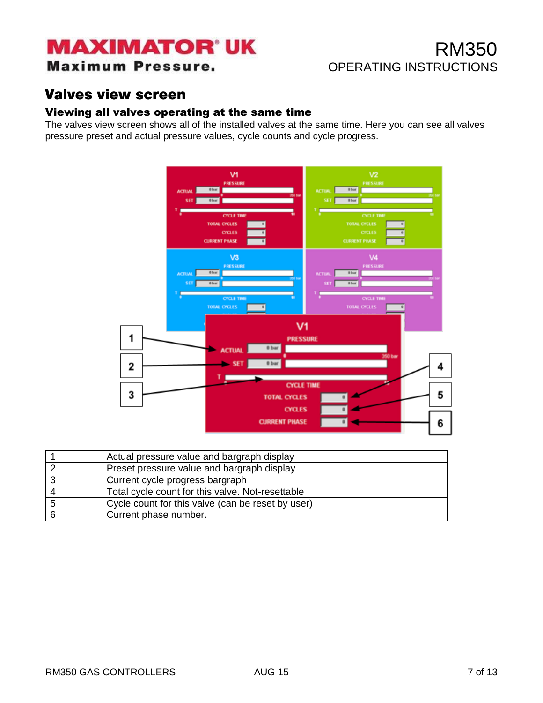### **Maximum Pressure.**

## RM350 OPERATING INSTRUCTIONS

### <span id="page-6-0"></span>**Valves view screen**

#### <span id="page-6-1"></span>Viewing all valves operating at the same time

The valves view screen shows all of the installed valves at the same time. Here you can see all valves pressure preset and actual pressure values, cycle counts and cycle progress.



| Actual pressure value and bargraph display        |
|---------------------------------------------------|
| Preset pressure value and bargraph display        |
| Current cycle progress bargraph                   |
| Total cycle count for this valve. Not-resettable  |
| Cycle count for this valve (can be reset by user) |
| Current phase number.                             |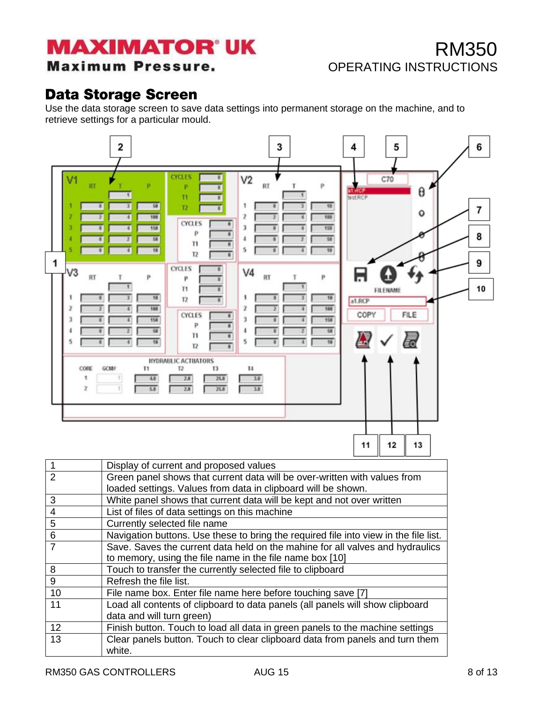#### **Maximum Pressure.**

## RM350 OPERATING INSTRUCTIONS

### <span id="page-7-0"></span>**Data Storage Screen**

Use the data storage screen to save data settings into permanent storage on the machine, and to retrieve settings for a particular mould.



| $\overline{1}$  | Display of current and proposed values                                                 |
|-----------------|----------------------------------------------------------------------------------------|
| $\overline{2}$  | Green panel shows that current data will be over-written with values from              |
|                 | loaded settings. Values from data in clipboard will be shown.                          |
| 3               | White panel shows that current data will be kept and not over written                  |
| $\overline{4}$  | List of files of data settings on this machine                                         |
| $\overline{5}$  | Currently selected file name                                                           |
| $6\phantom{1}6$ | Navigation buttons. Use these to bring the required file into view in the file list.   |
| $\overline{7}$  | Save. Saves the current data held on the mahine for all valves and hydraulics          |
|                 | to memory, using the file name in the file name box [10]                               |
| 8               | Touch to transfer the currently selected file to clipboard                             |
| 9               | Refresh the file list.                                                                 |
| 10              | File name box. Enter file name here before touching save [7]                           |
| 11              | Load all contents of clipboard to data panels (all panels will show clipboard          |
|                 | data and will turn green)                                                              |
| 12              | Finish button. Touch to load all data in green panels to the machine settings          |
| 13              | Clear panels button. Touch to clear clipboard data from panels and turn them<br>white. |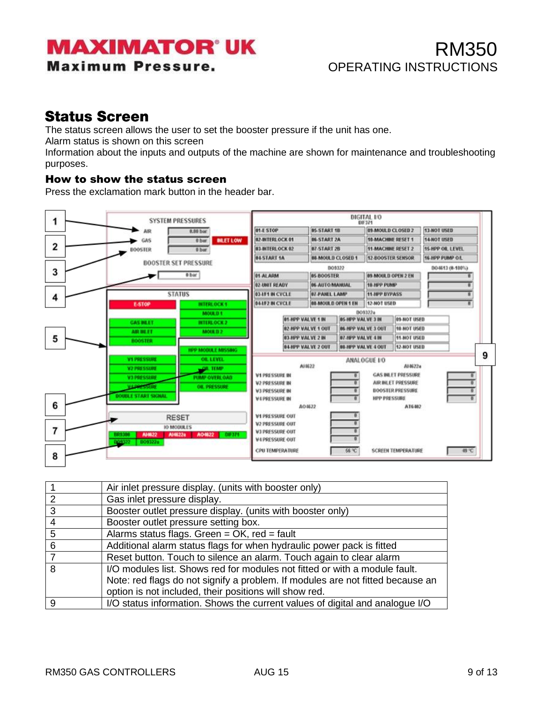### RM350 OPERATING INSTRUCTIONS

### <span id="page-8-0"></span>**Status Screen**

The status screen allows the user to set the booster pressure if the unit has one.

Alarm status is shown on this screen

Information about the inputs and outputs of the machine are shown for maintenance and troubleshooting purposes.

#### <span id="page-8-1"></span>How to show the status screen

Press the exclamation mark button in the header bar.



|    | Air inlet pressure display. (units with booster only)                          |
|----|--------------------------------------------------------------------------------|
| 2  | Gas inlet pressure display.                                                    |
| -3 | Booster outlet pressure display. (units with booster only)                     |
| -4 | Booster outlet pressure setting box.                                           |
| 5  | Alarms status flags. Green = OK, red = fault                                   |
| 6  | Additional alarm status flags for when hydraulic power pack is fitted          |
|    | Reset button. Touch to silence an alarm. Touch again to clear alarm            |
| 8  | I/O modules list. Shows red for modules not fitted or with a module fault.     |
|    | Note: red flags do not signify a problem. If modules are not fitted because an |
|    | option is not included, their positions will show red.                         |
| 9  | I/O status information. Shows the current values of digital and analogue I/O   |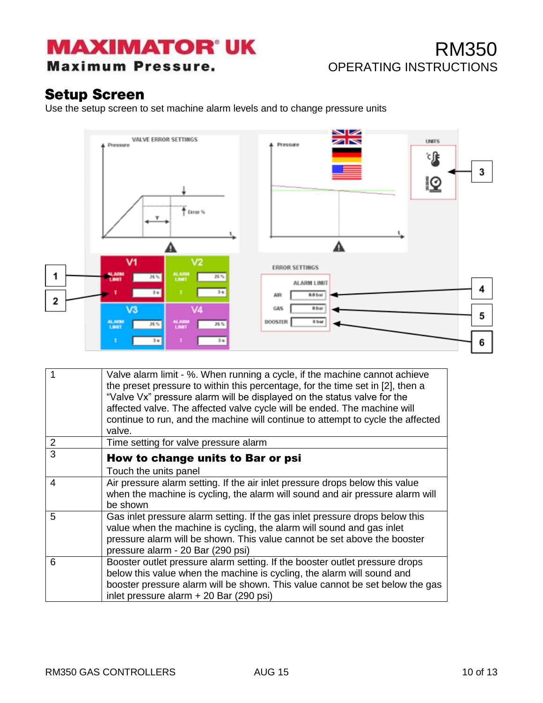**Maximum Pressure.** 

## RM350 OPERATING INSTRUCTIONS

### <span id="page-9-0"></span>**Setup Screen**

Use the setup screen to set machine alarm levels and to change pressure units



<span id="page-9-1"></span>

| 1              | Valve alarm limit - %. When running a cycle, if the machine cannot achieve<br>the preset pressure to within this percentage, for the time set in [2], then a<br>"Valve Vx" pressure alarm will be displayed on the status valve for the<br>affected valve. The affected valve cycle will be ended. The machine will<br>continue to run, and the machine will continue to attempt to cycle the affected<br>valve. |
|----------------|------------------------------------------------------------------------------------------------------------------------------------------------------------------------------------------------------------------------------------------------------------------------------------------------------------------------------------------------------------------------------------------------------------------|
| $\overline{2}$ | Time setting for valve pressure alarm                                                                                                                                                                                                                                                                                                                                                                            |
| 3              | How to change units to Bar or psi<br>Touch the units panel                                                                                                                                                                                                                                                                                                                                                       |
| 4              | Air pressure alarm setting. If the air inlet pressure drops below this value<br>when the machine is cycling, the alarm will sound and air pressure alarm will<br>be shown                                                                                                                                                                                                                                        |
| 5              | Gas inlet pressure alarm setting. If the gas inlet pressure drops below this<br>value when the machine is cycling, the alarm will sound and gas inlet<br>pressure alarm will be shown. This value cannot be set above the booster<br>pressure alarm - 20 Bar (290 psi)                                                                                                                                           |
| 6              | Booster outlet pressure alarm setting. If the booster outlet pressure drops<br>below this value when the machine is cycling, the alarm will sound and<br>booster pressure alarm will be shown. This value cannot be set below the gas<br>inlet pressure alarm + 20 Bar (290 psi)                                                                                                                                 |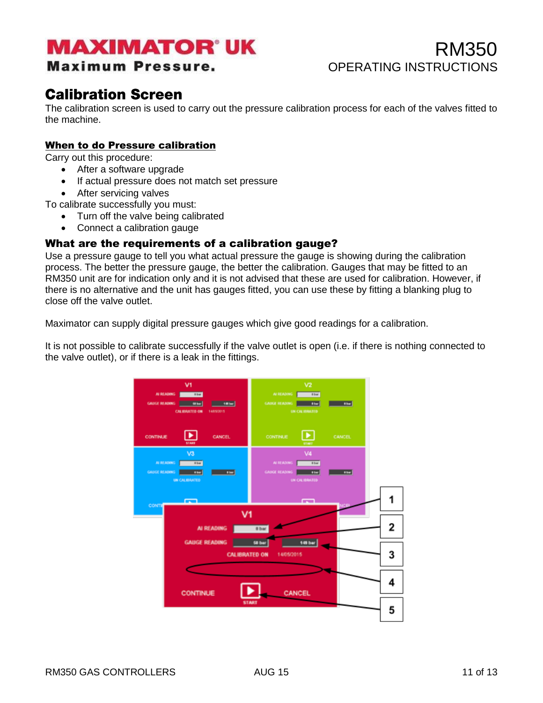#### **Maximum Pressure.**

RM350 OPERATING INSTRUCTIONS

### <span id="page-10-0"></span>**Calibration Screen**

The calibration screen is used to carry out the pressure calibration process for each of the valves fitted to the machine.

#### When to do Pressure calibration

Carry out this procedure:

- After a software upgrade
- If actual pressure does not match set pressure
- After servicing valves

To calibrate successfully you must:

- Turn off the valve being calibrated
- Connect a calibration gauge

#### <span id="page-10-1"></span>What are the requirements of a calibration gauge?

Use a pressure gauge to tell you what actual pressure the gauge is showing during the calibration process. The better the pressure gauge, the better the calibration. Gauges that may be fitted to an RM350 unit are for indication only and it is not advised that these are used for calibration. However, if there is no alternative and the unit has gauges fitted, you can use these by fitting a blanking plug to close off the valve outlet.

Maximator can supply digital pressure gauges which give good readings for a calibration.

It is not possible to calibrate successfully if the valve outlet is open (i.e. if there is nothing connected to the valve outlet), or if there is a leak in the fittings.

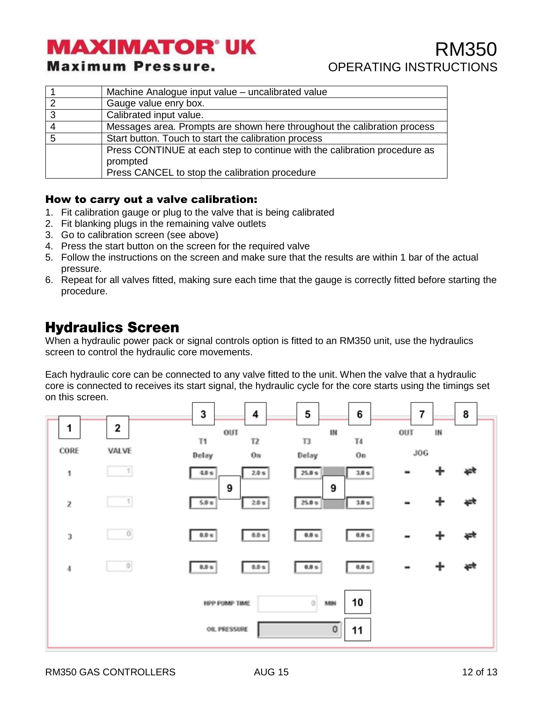#### **Maximum Pressure.**

## RM350 OPERATING INSTRUCTIONS

|   | Machine Analogue input value - uncalibrated value                         |
|---|---------------------------------------------------------------------------|
|   | Gauge value enry box.                                                     |
| 3 | Calibrated input value.                                                   |
|   | Messages area. Prompts are shown here throughout the calibration process  |
|   | Start button. Touch to start the calibration process                      |
|   | Press CONTINUE at each step to continue with the calibration procedure as |
|   | prompted                                                                  |
|   | Press CANCEL to stop the calibration procedure                            |

#### <span id="page-11-0"></span>How to carry out a valve calibration:

- 1. Fit calibration gauge or plug to the valve that is being calibrated
- 2. Fit blanking plugs in the remaining valve outlets
- 3. Go to calibration screen (see above)
- 4. Press the start button on the screen for the required valve
- 5. Follow the instructions on the screen and make sure that the results are within 1 bar of the actual pressure.
- 6. Repeat for all valves fitted, making sure each time that the gauge is correctly fitted before starting the procedure.

### <span id="page-11-1"></span>**Hydraulics Screen**

When a hydraulic power pack or signal controls option is fitted to an RM350 unit, use the hydraulics screen to control the hydraulic core movements.

Each hydraulic core can be connected to any valve fitted to the unit. When the valve that a hydraulic core is connected to receives its start signal, the hydraulic cycle for the core starts using the timings set on this screen.